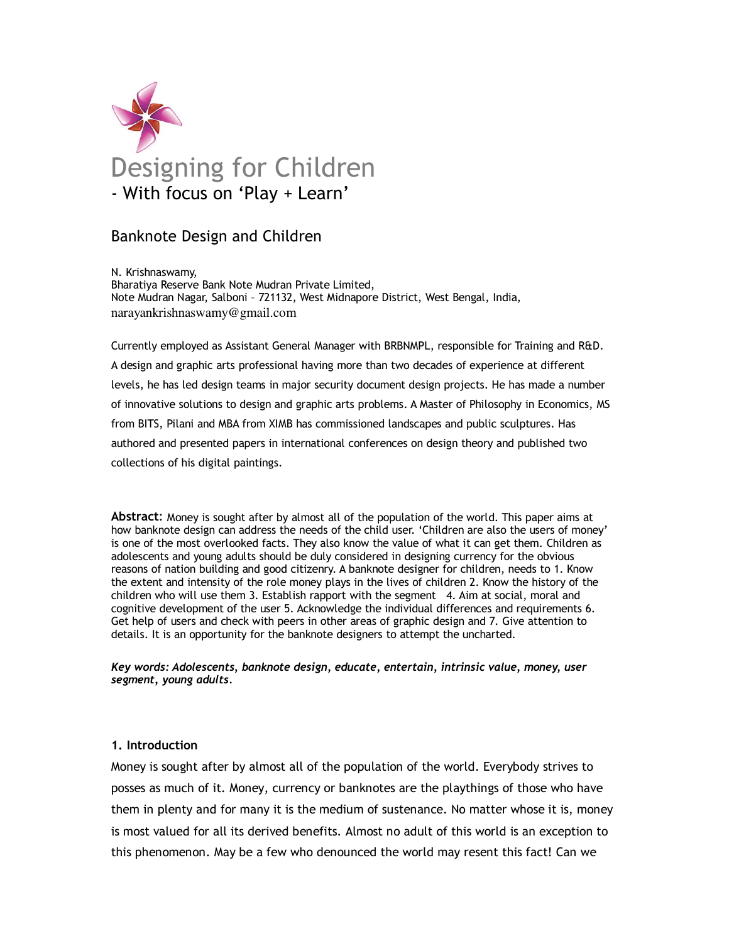

# Banknote Design and Children

N. Krishnaswamy, Bharatiya Reserve Bank Note Mudran Private Limited, Note Mudran Nagar, Salboni – 721132, West Midnapore District, West Bengal, India, narayankrishnaswamy@gmail.com

Currently employed as Assistant General Manager with BRBNMPL, responsible for Training and R&D. A design and graphic arts professional having more than two decades of experience at different levels, he has led design teams in major security document design projects. He has made a number of innovative solutions to design and graphic arts problems. A Master of Philosophy in Economics, MS from BITS, Pilani and MBA from XIMB has commissioned landscapes and public sculptures. Has authored and presented papers in international conferences on design theory and published two collections of his digital paintings.

Abstract: Money is sought after by almost all of the population of the world. This paper aims at how banknote design can address the needs of the child user. 'Children are also the users of money' is one of the most overlooked facts. They also know the value of what it can get them. Children as adolescents and young adults should be duly considered in designing currency for the obvious reasons of nation building and good citizenry. A banknote designer for children, needs to 1. Know the extent and intensity of the role money plays in the lives of children 2. Know the history of the children who will use them 3. Establish rapport with the segment 4. Aim at social, moral and cognitive development of the user 5. Acknowledge the individual differences and requirements 6. Get help of users and check with peers in other areas of graphic design and 7. Give attention to details. It is an opportunity for the banknote designers to attempt the uncharted.

Key words: Adolescents, banknote design, educate, entertain, intrinsic value, money, user segment, young adults.

### 1. Introduction

Money is sought after by almost all of the population of the world. Everybody strives to posses as much of it. Money, currency or banknotes are the playthings of those who have them in plenty and for many it is the medium of sustenance. No matter whose it is, money is most valued for all its derived benefits. Almost no adult of this world is an exception to this phenomenon. May be a few who denounced the world may resent this fact! Can we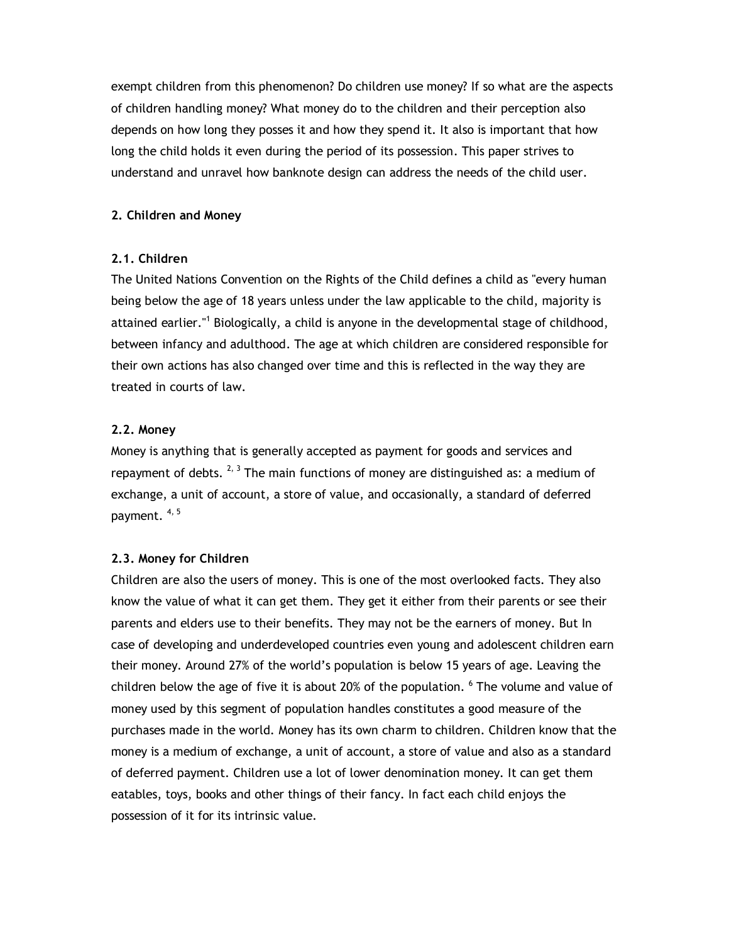exempt children from this phenomenon? Do children use money? If so what are the aspects of children handling money? What money do to the children and their perception also depends on how long they posses it and how they spend it. It also is important that how long the child holds it even during the period of its possession. This paper strives to understand and unravel how banknote design can address the needs of the child user.

### 2. Children and Money

## 2.1. Children

The United Nations Convention on the Rights of the Child defines a child as "every human being below the age of 18 years unless under the law applicable to the child, majority is attained earlier."<sup>1</sup> Biologically, a child is anyone in the developmental stage of childhood, between infancy and adulthood. The age at which children are considered responsible for their own actions has also changed over time and this is reflected in the way they are treated in courts of law.

## 2.2. Money

Money is anything that is generally accepted as payment for goods and services and repayment of debts.  $^{2, 3}$  The main functions of money are distinguished as: a medium of exchange, a unit of account, a store of value, and occasionally, a standard of deferred payment. 4, 5

### 2.3. Money for Children

Children are also the users of money. This is one of the most overlooked facts. They also know the value of what it can get them. They get it either from their parents or see their parents and elders use to their benefits. They may not be the earners of money. But In case of developing and underdeveloped countries even young and adolescent children earn their money. Around 27% of the world's population is below 15 years of age. Leaving the children below the age of five it is about 20% of the population. <sup>6</sup> The volume and value of money used by this segment of population handles constitutes a good measure of the purchases made in the world. Money has its own charm to children. Children know that the money is a medium of exchange, a unit of account, a store of value and also as a standard of deferred payment. Children use a lot of lower denomination money. It can get them eatables, toys, books and other things of their fancy. In fact each child enjoys the possession of it for its intrinsic value.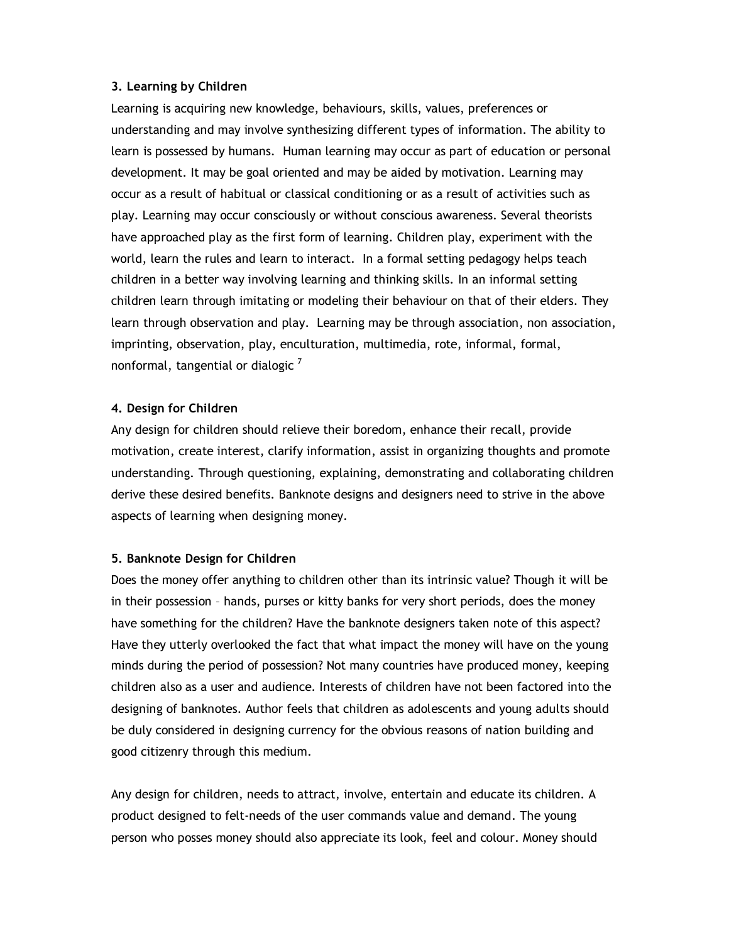### 3. Learning by Children

Learning is acquiring new knowledge, behaviours, skills, values, preferences or understanding and may involve synthesizing different types of information. The ability to learn is possessed by humans. Human learning may occur as part of education or personal development. It may be goal oriented and may be aided by motivation. Learning may occur as a result of habitual or classical conditioning or as a result of activities such as play. Learning may occur consciously or without conscious awareness. Several theorists have approached play as the first form of learning. Children play, experiment with the world, learn the rules and learn to interact. In a formal setting pedagogy helps teach children in a better way involving learning and thinking skills. In an informal setting children learn through imitating or modeling their behaviour on that of their elders. They learn through observation and play. Learning may be through association, non association, imprinting, observation, play, enculturation, multimedia, rote, informal, formal, nonformal, tangential or dialogic  $<sup>7</sup>$ </sup>

### 4. Design for Children

Any design for children should relieve their boredom, enhance their recall, provide motivation, create interest, clarify information, assist in organizing thoughts and promote understanding. Through questioning, explaining, demonstrating and collaborating children derive these desired benefits. Banknote designs and designers need to strive in the above aspects of learning when designing money.

#### 5. Banknote Design for Children

Does the money offer anything to children other than its intrinsic value? Though it will be in their possession – hands, purses or kitty banks for very short periods, does the money have something for the children? Have the banknote designers taken note of this aspect? Have they utterly overlooked the fact that what impact the money will have on the young minds during the period of possession? Not many countries have produced money, keeping children also as a user and audience. Interests of children have not been factored into the designing of banknotes. Author feels that children as adolescents and young adults should be duly considered in designing currency for the obvious reasons of nation building and good citizenry through this medium.

Any design for children, needs to attract, involve, entertain and educate its children. A product designed to felt-needs of the user commands value and demand. The young person who posses money should also appreciate its look, feel and colour. Money should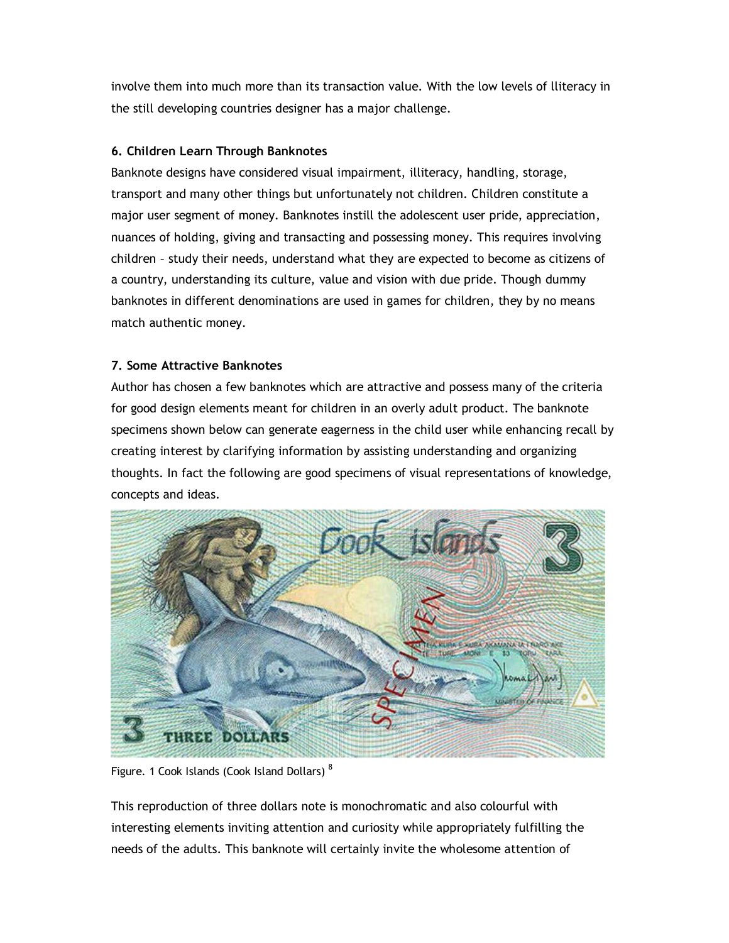involve them into much more than its transaction value. With the low levels of lliteracy in the still developing countries designer has a major challenge.

## 6. Children Learn Through Banknotes

Banknote designs have considered visual impairment, illiteracy, handling, storage, transport and many other things but unfortunately not children. Children constitute a major user segment of money. Banknotes instill the adolescent user pride, appreciation, nuances of holding, giving and transacting and possessing money. This requires involving children – study their needs, understand what they are expected to become as citizens of a country, understanding its culture, value and vision with due pride. Though dummy banknotes in different denominations are used in games for children, they by no means match authentic money.

## 7. Some Attractive Banknotes

Author has chosen a few banknotes which are attractive and possess many of the criteria for good design elements meant for children in an overly adult product. The banknote specimens shown below can generate eagerness in the child user while enhancing recall by creating interest by clarifying information by assisting understanding and organizing thoughts. In fact the following are good specimens of visual representations of knowledge, concepts and ideas.



Figure. 1 Cook Islands (Cook Island Dollars)<sup>8</sup>

This reproduction of three dollars note is monochromatic and also colourful with interesting elements inviting attention and curiosity while appropriately fulfilling the needs of the adults. This banknote will certainly invite the wholesome attention of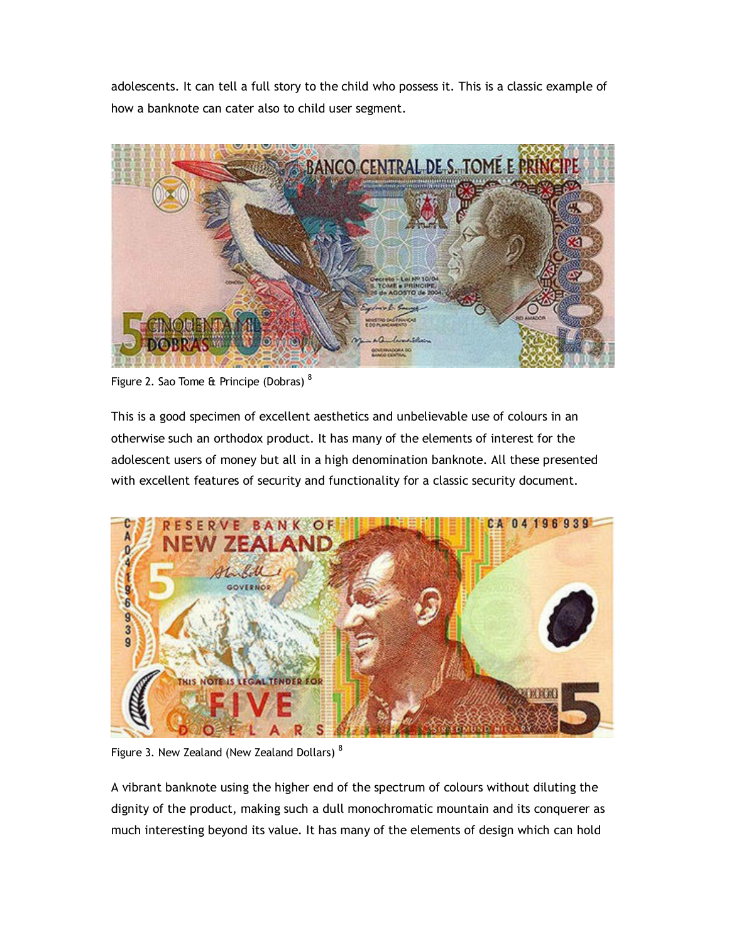adolescents. It can tell a full story to the child who possess it. This is a classic example of how a banknote can cater also to child user segment.



Figure 2. Sao Tome & Principe (Dobras)<sup>8</sup>

This is a good specimen of excellent aesthetics and unbelievable use of colours in an otherwise such an orthodox product. It has many of the elements of interest for the adolescent users of money but all in a high denomination banknote. All these presented with excellent features of security and functionality for a classic security document.



Figure 3. New Zealand (New Zealand Dollars)<sup>8</sup>

A vibrant banknote using the higher end of the spectrum of colours without diluting the dignity of the product, making such a dull monochromatic mountain and its conquerer as much interesting beyond its value. It has many of the elements of design which can hold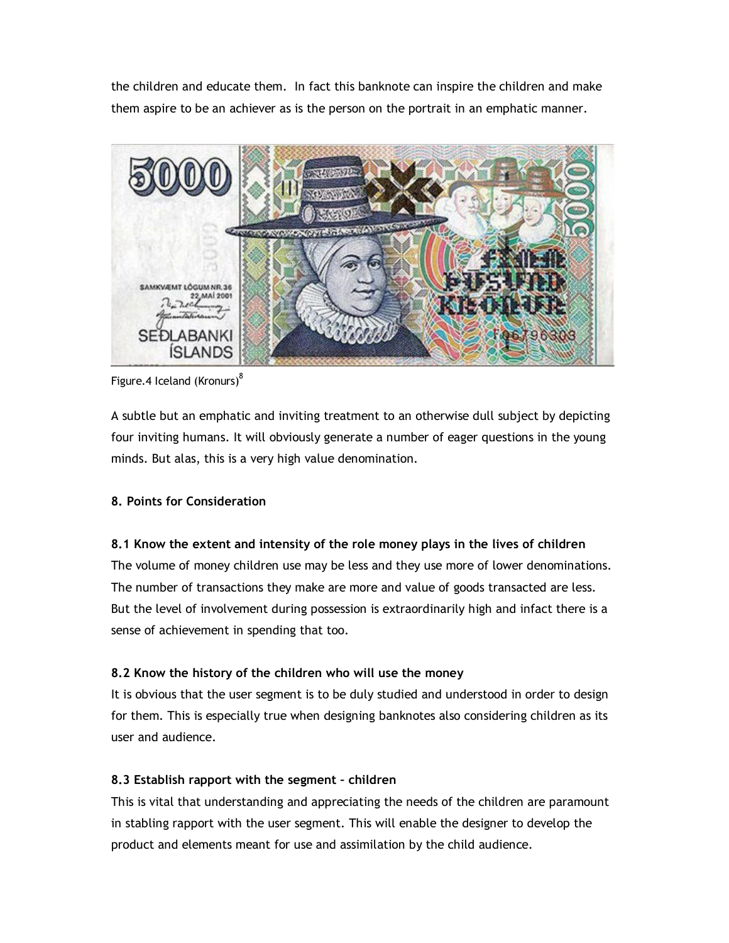the children and educate them. In fact this banknote can inspire the children and make them aspire to be an achiever as is the person on the portrait in an emphatic manner.



Figure.4 Iceland (Kronurs) $8$ 

A subtle but an emphatic and inviting treatment to an otherwise dull subject by depicting four inviting humans. It will obviously generate a number of eager questions in the young minds. But alas, this is a very high value denomination.

# 8. Points for Consideration

8.1 Know the extent and intensity of the role money plays in the lives of children The volume of money children use may be less and they use more of lower denominations. The number of transactions they make are more and value of goods transacted are less. But the level of involvement during possession is extraordinarily high and infact there is a sense of achievement in spending that too.

# 8.2 Know the history of the children who will use the money

It is obvious that the user segment is to be duly studied and understood in order to design for them. This is especially true when designing banknotes also considering children as its user and audience.

# 8.3 Establish rapport with the segment – children

This is vital that understanding and appreciating the needs of the children are paramount in stabling rapport with the user segment. This will enable the designer to develop the product and elements meant for use and assimilation by the child audience.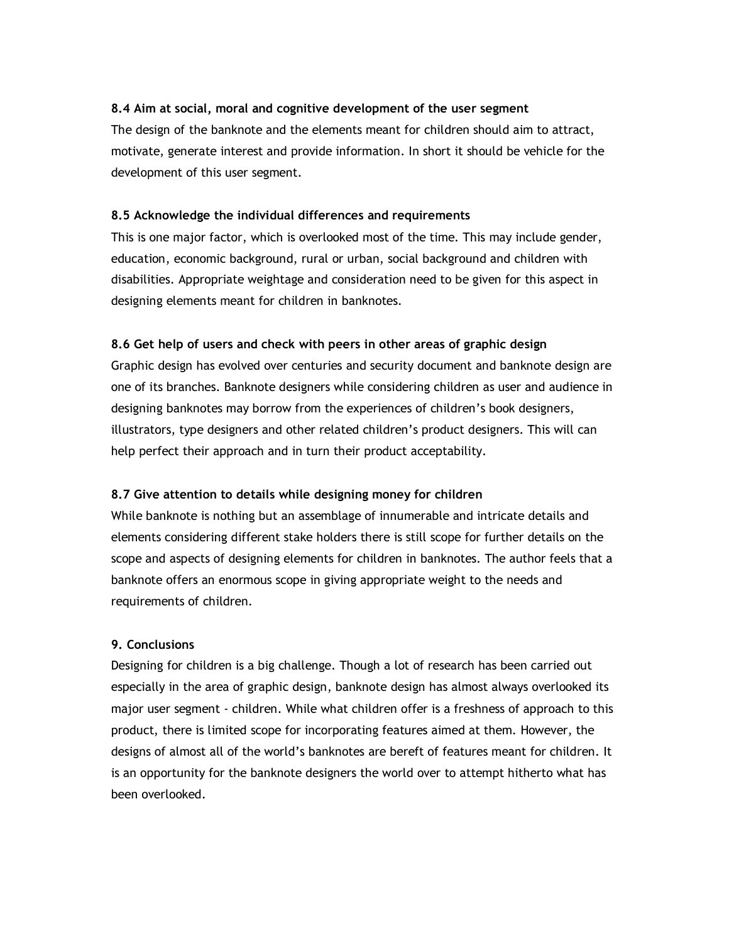## 8.4 Aim at social, moral and cognitive development of the user segment

The design of the banknote and the elements meant for children should aim to attract, motivate, generate interest and provide information. In short it should be vehicle for the development of this user segment.

### 8.5 Acknowledge the individual differences and requirements

This is one major factor, which is overlooked most of the time. This may include gender, education, economic background, rural or urban, social background and children with disabilities. Appropriate weightage and consideration need to be given for this aspect in designing elements meant for children in banknotes.

## 8.6 Get help of users and check with peers in other areas of graphic design

Graphic design has evolved over centuries and security document and banknote design are one of its branches. Banknote designers while considering children as user and audience in designing banknotes may borrow from the experiences of children's book designers, illustrators, type designers and other related children's product designers. This will can help perfect their approach and in turn their product acceptability.

# 8.7 Give attention to details while designing money for children

While banknote is nothing but an assemblage of innumerable and intricate details and elements considering different stake holders there is still scope for further details on the scope and aspects of designing elements for children in banknotes. The author feels that a banknote offers an enormous scope in giving appropriate weight to the needs and requirements of children.

### 9. Conclusions

Designing for children is a big challenge. Though a lot of research has been carried out especially in the area of graphic design, banknote design has almost always overlooked its major user segment - children. While what children offer is a freshness of approach to this product, there is limited scope for incorporating features aimed at them. However, the designs of almost all of the world's banknotes are bereft of features meant for children. It is an opportunity for the banknote designers the world over to attempt hitherto what has been overlooked.